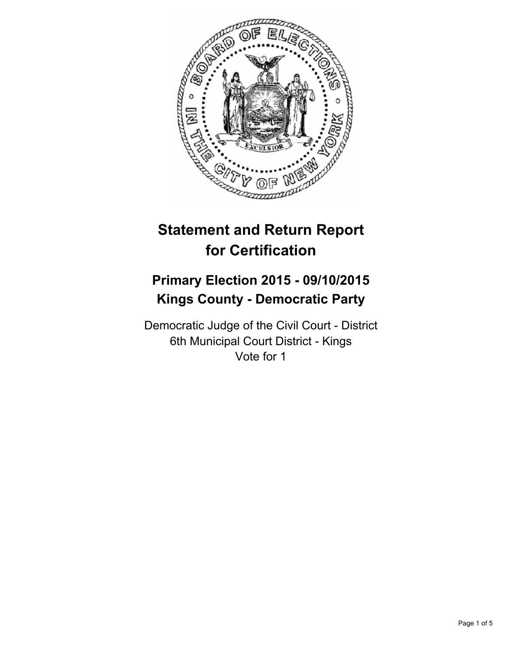

# **Statement and Return Report for Certification**

## **Primary Election 2015 - 09/10/2015 Kings County - Democratic Party**

Democratic Judge of the Civil Court - District 6th Municipal Court District - Kings Vote for 1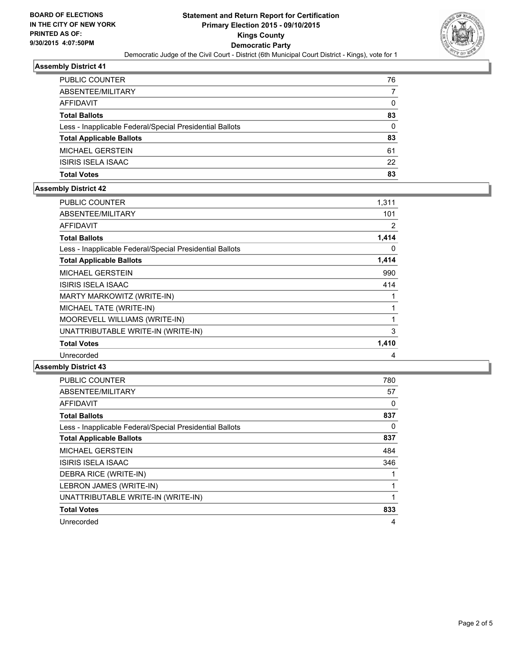

#### **Assembly District 41**

| <b>PUBLIC COUNTER</b>                                    | 76 |
|----------------------------------------------------------|----|
| ABSENTEE/MILITARY                                        |    |
| AFFIDAVIT                                                | 0  |
| <b>Total Ballots</b>                                     | 83 |
| Less - Inapplicable Federal/Special Presidential Ballots | 0  |
| <b>Total Applicable Ballots</b>                          | 83 |
| <b>MICHAEL GERSTEIN</b>                                  | 61 |
| ISIRIS ISELA ISAAC                                       | 22 |
| <b>Total Votes</b>                                       | 83 |

## **Assembly District 42**

| <b>PUBLIC COUNTER</b>                                    | 1,311 |
|----------------------------------------------------------|-------|
| ABSENTEE/MILITARY                                        | 101   |
| AFFIDAVIT                                                | 2     |
| <b>Total Ballots</b>                                     | 1,414 |
| Less - Inapplicable Federal/Special Presidential Ballots | 0     |
| <b>Total Applicable Ballots</b>                          | 1,414 |
| <b>MICHAEL GERSTEIN</b>                                  | 990   |
| <b>ISIRIS ISELA ISAAC</b>                                | 414   |
| MARTY MARKOWITZ (WRITE-IN)                               |       |
| MICHAEL TATE (WRITE-IN)                                  | 1     |
| MOOREVELL WILLIAMS (WRITE-IN)                            | 1     |
| UNATTRIBUTABLE WRITE-IN (WRITE-IN)                       | 3     |
| <b>Total Votes</b>                                       | 1,410 |
| Unrecorded                                               | 4     |

### **Assembly District 43**

| <b>PUBLIC COUNTER</b>                                    | 780 |
|----------------------------------------------------------|-----|
| ABSENTEE/MILITARY                                        | 57  |
| <b>AFFIDAVIT</b>                                         | 0   |
| <b>Total Ballots</b>                                     | 837 |
| Less - Inapplicable Federal/Special Presidential Ballots | 0   |
| <b>Total Applicable Ballots</b>                          | 837 |
| <b>MICHAEL GERSTEIN</b>                                  | 484 |
| <b>ISIRIS ISELA ISAAC</b>                                | 346 |
| DEBRA RICE (WRITE-IN)                                    |     |
| LEBRON JAMES (WRITE-IN)                                  | 1   |
| UNATTRIBUTABLE WRITE-IN (WRITE-IN)                       | 1   |
| <b>Total Votes</b>                                       | 833 |
| Unrecorded                                               | 4   |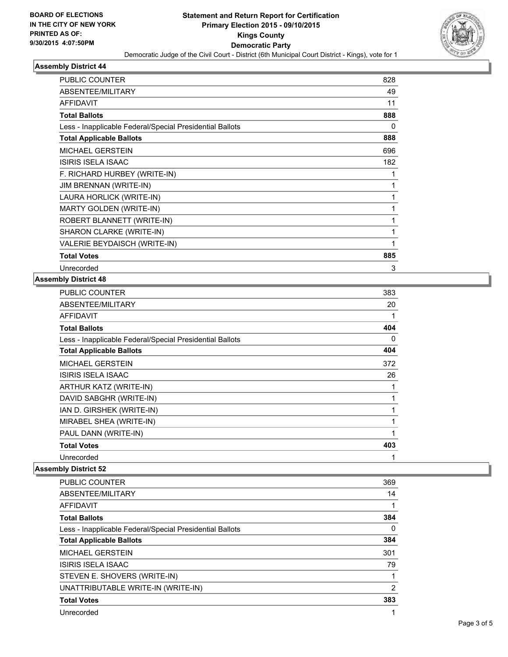

#### **Assembly District 44**

| <b>PUBLIC COUNTER</b>                                    | 828 |
|----------------------------------------------------------|-----|
| ABSENTEE/MILITARY                                        | 49  |
| <b>AFFIDAVIT</b>                                         | 11  |
| <b>Total Ballots</b>                                     | 888 |
| Less - Inapplicable Federal/Special Presidential Ballots | 0   |
| <b>Total Applicable Ballots</b>                          | 888 |
| <b>MICHAEL GERSTEIN</b>                                  | 696 |
| ISIRIS ISELA ISAAC                                       | 182 |
| F. RICHARD HURBEY (WRITE-IN)                             |     |
| <b>JIM BRENNAN (WRITE-IN)</b>                            | 1   |
| LAURA HORLICK (WRITE-IN)                                 | 1   |
| MARTY GOLDEN (WRITE-IN)                                  | 1   |
| ROBERT BLANNETT (WRITE-IN)                               | 1   |
| SHARON CLARKE (WRITE-IN)                                 | 1   |
| VALERIE BEYDAISCH (WRITE-IN)                             | 1   |
| <b>Total Votes</b>                                       | 885 |
| Unrecorded                                               | 3   |

## **Assembly District 48**

| <b>PUBLIC COUNTER</b>                                    | 383          |
|----------------------------------------------------------|--------------|
| ABSENTEE/MILITARY                                        | 20           |
| <b>AFFIDAVIT</b>                                         | 1            |
| <b>Total Ballots</b>                                     | 404          |
| Less - Inapplicable Federal/Special Presidential Ballots | 0            |
| <b>Total Applicable Ballots</b>                          | 404          |
| <b>MICHAEL GERSTEIN</b>                                  | 372          |
| ISIRIS ISELA ISAAC                                       | 26           |
| ARTHUR KATZ (WRITE-IN)                                   | 1            |
| DAVID SABGHR (WRITE-IN)                                  | 1            |
| IAN D. GIRSHEK (WRITE-IN)                                | 1            |
| MIRABEL SHEA (WRITE-IN)                                  | $\mathbf{1}$ |
| PAUL DANN (WRITE-IN)                                     | 1            |
| <b>Total Votes</b>                                       | 403          |
| Unrecorded                                               | 1            |

## **Assembly District 52**

| PUBLIC COUNTER                                           | 369            |
|----------------------------------------------------------|----------------|
| ABSENTEE/MILITARY                                        | 14             |
| <b>AFFIDAVIT</b>                                         |                |
| <b>Total Ballots</b>                                     | 384            |
| Less - Inapplicable Federal/Special Presidential Ballots | 0              |
| <b>Total Applicable Ballots</b>                          | 384            |
| <b>MICHAEL GERSTEIN</b>                                  | 301            |
| <b>ISIRIS ISELA ISAAC</b>                                | 79             |
| STEVEN E. SHOVERS (WRITE-IN)                             |                |
| UNATTRIBUTABLE WRITE-IN (WRITE-IN)                       | $\overline{2}$ |
| <b>Total Votes</b>                                       | 383            |
| Unrecorded                                               |                |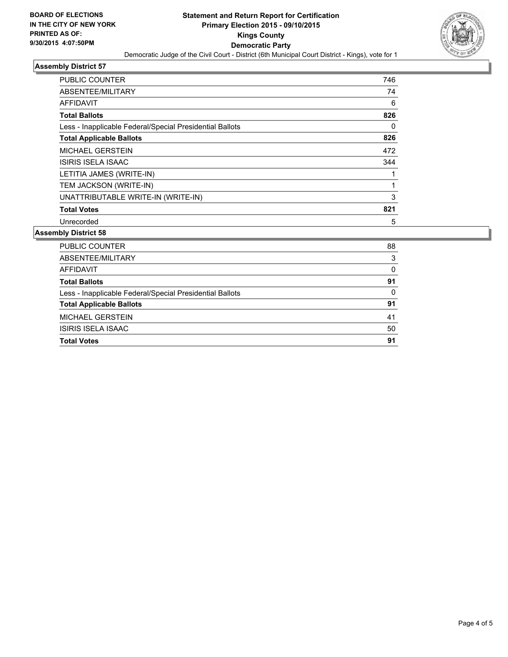

#### **Assembly District 57**

| <b>PUBLIC COUNTER</b>                                    | 746 |
|----------------------------------------------------------|-----|
| ABSENTEE/MILITARY                                        | 74  |
| <b>AFFIDAVIT</b>                                         | 6   |
| <b>Total Ballots</b>                                     | 826 |
| Less - Inapplicable Federal/Special Presidential Ballots | 0   |
| <b>Total Applicable Ballots</b>                          | 826 |
| <b>MICHAEL GERSTEIN</b>                                  | 472 |
| ISIRIS ISELA ISAAC                                       | 344 |
| LETITIA JAMES (WRITE-IN)                                 |     |
| TEM JACKSON (WRITE-IN)                                   |     |
| UNATTRIBUTABLE WRITE-IN (WRITE-IN)                       | 3   |
| <b>Total Votes</b>                                       | 821 |
| Unrecorded                                               | 5   |

#### **Assembly District 58**

| PUBLIC COUNTER                                           | 88       |
|----------------------------------------------------------|----------|
| ABSENTEE/MILITARY                                        | 3        |
| <b>AFFIDAVIT</b>                                         | 0        |
| <b>Total Ballots</b>                                     | 91       |
| Less - Inapplicable Federal/Special Presidential Ballots | $\Omega$ |
| <b>Total Applicable Ballots</b>                          | 91       |
| <b>MICHAEL GERSTEIN</b>                                  | 41       |
| ISIRIS ISELA ISAAC                                       | 50       |
| <b>Total Votes</b>                                       | 91       |